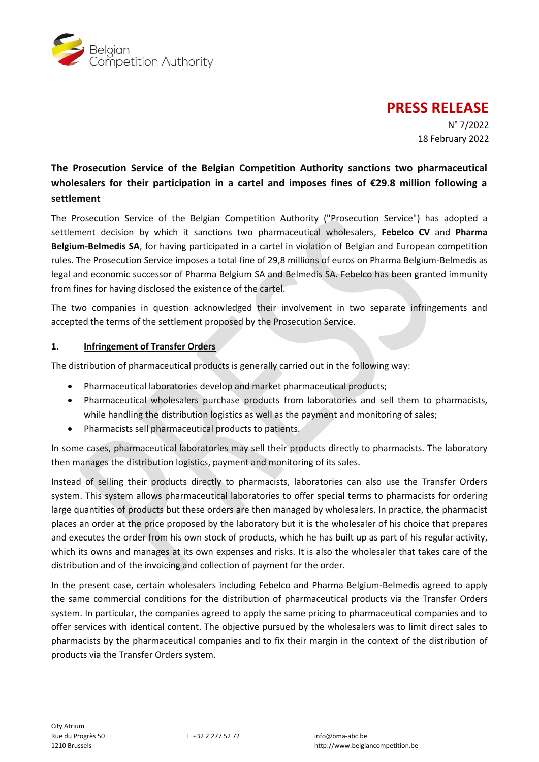

# **PRESS RELEASE**

N° 7/2022 18 February 2022

## **The Prosecution Service of the Belgian Competition Authority sanctions two pharmaceutical wholesalers for their participation in a cartel and imposes fines of €29.8 million following a settlement**

The Prosecution Service of the Belgian Competition Authority ("Prosecution Service") has adopted a settlement decision by which it sanctions two pharmaceutical wholesalers, **Febelco CV** and **Pharma Belgium-Belmedis SA**, for having participated in a cartel in violation of Belgian and European competition rules. The Prosecution Service imposes a total fine of 29,8 millions of euros on Pharma Belgium-Belmedis as legal and economic successor of Pharma Belgium SA and Belmedis SA. Febelco has been granted immunity from fines for having disclosed the existence of the cartel.

The two companies in question acknowledged their involvement in two separate infringements and accepted the terms of the settlement proposed by the Prosecution Service.

### **1. Infringement of Transfer Orders**

The distribution of pharmaceutical products is generally carried out in the following way:

- Pharmaceutical laboratories develop and market pharmaceutical products;
- Pharmaceutical wholesalers purchase products from laboratories and sell them to pharmacists, while handling the distribution logistics as well as the payment and monitoring of sales;
- Pharmacists sell pharmaceutical products to patients.

In some cases, pharmaceutical laboratories may sell their products directly to pharmacists. The laboratory then manages the distribution logistics, payment and monitoring of its sales.

Instead of selling their products directly to pharmacists, laboratories can also use the Transfer Orders system. This system allows pharmaceutical laboratories to offer special terms to pharmacists for ordering large quantities of products but these orders are then managed by wholesalers. In practice, the pharmacist places an order at the price proposed by the laboratory but it is the wholesaler of his choice that prepares and executes the order from his own stock of products, which he has built up as part of his regular activity, which its owns and manages at its own expenses and risks. It is also the wholesaler that takes care of the distribution and of the invoicing and collection of payment for the order.

In the present case, certain wholesalers including Febelco and Pharma Belgium-Belmedis agreed to apply the same commercial conditions for the distribution of pharmaceutical products via the Transfer Orders system. In particular, the companies agreed to apply the same pricing to pharmaceutical companies and to offer services with identical content. The objective pursued by the wholesalers was to limit direct sales to pharmacists by the pharmaceutical companies and to fix their margin in the context of the distribution of products via the Transfer Orders system.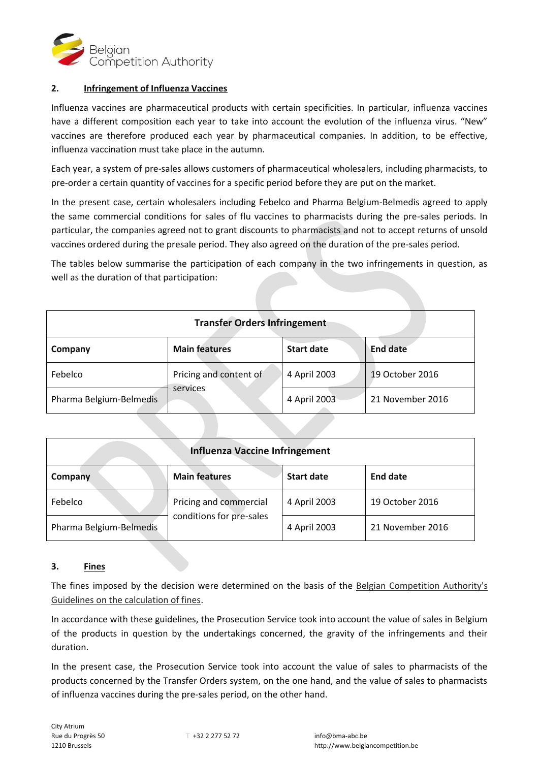

#### **2. Infringement of Influenza Vaccines**

Influenza vaccines are pharmaceutical products with certain specificities. In particular, influenza vaccines have a different composition each year to take into account the evolution of the influenza virus. "New" vaccines are therefore produced each year by pharmaceutical companies. In addition, to be effective, influenza vaccination must take place in the autumn.

Each year, a system of pre-sales allows customers of pharmaceutical wholesalers, including pharmacists, to pre-order a certain quantity of vaccines for a specific period before they are put on the market.

In the present case, certain wholesalers including Febelco and Pharma Belgium-Belmedis agreed to apply the same commercial conditions for sales of flu vaccines to pharmacists during the pre-sales periods. In particular, the companies agreed not to grant discounts to pharmacists and not to accept returns of unsold vaccines ordered during the presale period. They also agreed on the duration of the pre-sales period.

The tables below summarise the participation of each company in the two infringements in question, as well as the duration of that participation:

| <b>Transfer Orders Infringement</b> |                                    |                   |                  |  |  |
|-------------------------------------|------------------------------------|-------------------|------------------|--|--|
| Company                             | <b>Main features</b>               | <b>Start date</b> | <b>End date</b>  |  |  |
| Febelco                             | Pricing and content of<br>services | 4 April 2003      | 19 October 2016  |  |  |
| Pharma Belgium-Belmedis             |                                    | 4 April 2003      | 21 November 2016 |  |  |

| <b>Influenza Vaccine Infringement</b> |                                                    |                   |                  |  |  |
|---------------------------------------|----------------------------------------------------|-------------------|------------------|--|--|
| Company                               | <b>Main features</b>                               | <b>Start date</b> | End date         |  |  |
| Febelco                               | Pricing and commercial<br>conditions for pre-sales | 4 April 2003      | 19 October 2016  |  |  |
| Pharma Belgium-Belmedis               |                                                    | 4 April 2003      | 21 November 2016 |  |  |

#### **3. Fines**

The fines imposed by the decision were determined on the basis of the [Belgian Competition Authority's](https://www.belgiancompetition.be/sites/default/files/content/download/files/20200525_lignes_directrices_amendes_richtsnoeren_geldboeten.pdf)  [Guidelines on the calculation of fines.](https://www.belgiancompetition.be/sites/default/files/content/download/files/20200525_lignes_directrices_amendes_richtsnoeren_geldboeten.pdf)

In accordance with these guidelines, the Prosecution Service took into account the value of sales in Belgium of the products in question by the undertakings concerned, the gravity of the infringements and their duration.

In the present case, the Prosecution Service took into account the value of sales to pharmacists of the products concerned by the Transfer Orders system, on the one hand, and the value of sales to pharmacists of influenza vaccines during the pre-sales period, on the other hand.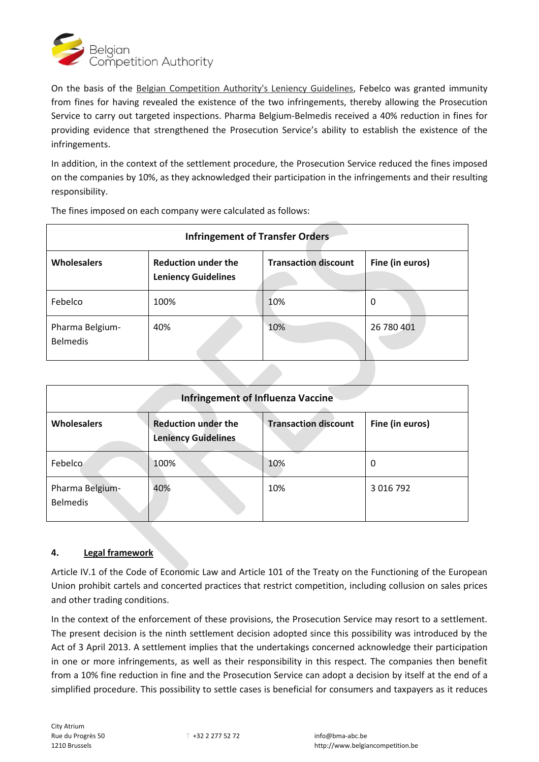

On the basis of the [Belgian Competition Authority's Leniency Guidelines,](https://www.abc-bma.be/fr/propos-de-nous/publications/lignes-directrices-sur-la-clemence-0) Febelco was granted immunity from fines for having revealed the existence of the two infringements, thereby allowing the Prosecution Service to carry out targeted inspections. Pharma Belgium-Belmedis received a 40% reduction in fines for providing evidence that strengthened the Prosecution Service's ability to establish the existence of the infringements.

In addition, in the context of the settlement procedure, the Prosecution Service reduced the fines imposed on the companies by 10%, as they acknowledged their participation in the infringements and their resulting responsibility.

| <b>Infringement of Transfer Orders</b> |                                                          |                             |                 |  |  |
|----------------------------------------|----------------------------------------------------------|-----------------------------|-----------------|--|--|
| <b>Wholesalers</b>                     | <b>Reduction under the</b><br><b>Leniency Guidelines</b> | <b>Transaction discount</b> | Fine (in euros) |  |  |
| Febelco                                | 100%                                                     | 10%                         | 0               |  |  |
| Pharma Belgium-<br><b>Belmedis</b>     | 40%                                                      | 10%                         | 26 780 401      |  |  |

The fines imposed on each company were calculated as follows:

| <b>Infringement of Influenza Vaccine</b> |                                                          |                             |                 |  |  |
|------------------------------------------|----------------------------------------------------------|-----------------------------|-----------------|--|--|
| <b>Wholesalers</b>                       | <b>Reduction under the</b><br><b>Leniency Guidelines</b> | <b>Transaction discount</b> | Fine (in euros) |  |  |
| Febelco                                  | 100%                                                     | 10%                         | 0               |  |  |
| Pharma Belgium-<br><b>Belmedis</b>       | 40%                                                      | 10%                         | 3 016 792       |  |  |

#### **4. Legal framework**

Article IV.1 of the Code of Economic Law and Article 101 of the Treaty on the Functioning of the European Union prohibit cartels and concerted practices that restrict competition, including collusion on sales prices and other trading conditions.

In the context of the enforcement of these provisions, the Prosecution Service may resort to a settlement. The present decision is the ninth settlement decision adopted since this possibility was introduced by the Act of 3 April 2013. A settlement implies that the undertakings concerned acknowledge their participation in one or more infringements, as well as their responsibility in this respect. The companies then benefit from a 10% fine reduction in fine and the Prosecution Service can adopt a decision by itself at the end of a simplified procedure. This possibility to settle cases is beneficial for consumers and taxpayers as it reduces